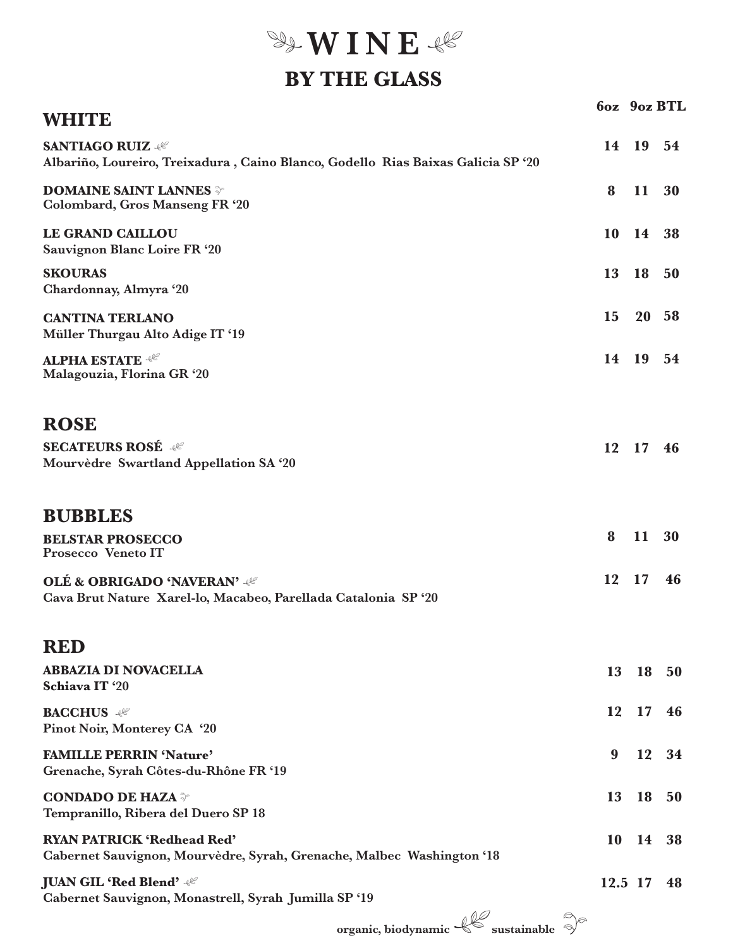**WINE** 

## **BY THE GLASS**

|                                                                                                             |                  | 6oz 9oz BTL |      |
|-------------------------------------------------------------------------------------------------------------|------------------|-------------|------|
| WHITE                                                                                                       |                  |             |      |
| <b>SANTIAGO RUIZ 48</b><br>Albariño, Loureiro, Treixadura, Caino Blanco, Godello Rias Baixas Galicia SP '20 |                  | 14 19 54    |      |
| <b>DOMAINE SAINT LANNES</b><br><b>Colombard, Gros Manseng FR '20</b>                                        | 8                | 11 30       |      |
| LE GRAND CAILLOU<br>Sauvignon Blanc Loire FR '20                                                            |                  | 10 14 38    |      |
| <b>SKOURAS</b><br>Chardonnay, Almyra '20                                                                    | 13               | 18          | - 50 |
| <b>CANTINA TERLANO</b><br>Müller Thurgau Alto Adige IT '19                                                  | <b>15</b>        | 20 58       |      |
| <b>ALPHA ESTATE 48</b><br>Malagouzia, Florina GR '20                                                        |                  | 14 19 54    |      |
|                                                                                                             |                  |             |      |
| <b>ROSE</b>                                                                                                 |                  |             |      |
| <b>SECATEURS ROSÉ 48°</b><br>Mourvèdre Swartland Appellation SA '20                                         |                  | 12 17 46    |      |
| <b>BUBBLES</b>                                                                                              |                  |             |      |
| <b>BELSTAR PROSECCO</b><br>Prosecco Veneto IT                                                               | 8                | 11          | 30   |
| <b>OLÉ &amp; OBRIGADO 'NAVERAN' 48°</b><br>Cava Brut Nature Xarel-lo, Macabeo, Parellada Catalonia SP '20   |                  | 12 17       | 46   |
| <b>RED</b>                                                                                                  |                  |             |      |
| <b>ABBAZIA DI NOVACELLA</b><br>Schiava IT '20                                                               |                  | 13 18 50    |      |
| <b>BACCHUS</b><br>Pinot Noir, Monterey CA '20                                                               | 12               | 17          | 46   |
| <b>FAMILLE PERRIN 'Nature'</b><br>Grenache, Syrah Côtes-du-Rhône FR '19                                     | $\boldsymbol{9}$ | 12          | 34   |
| <b>CONDADO DE HAZA</b><br>Tempranillo, Ribera del Duero SP 18                                               | 13               | 18          | 50   |
| <b>RYAN PATRICK 'Redhead Red'</b><br>Cabernet Sauvignon, Mourvèdre, Syrah, Grenache, Malbec Washington '18  | 10               | 14          | 38   |
| <b>JUAN GIL 'Red Blend' 48</b><br>Cabernet Sauvignon, Monastrell, Syrah Jumilla SP '19                      |                  | $12.5$ 17   | 48   |
| r (1) Ø                                                                                                     | $\bigcirc$       |             |      |

**organic, biodynamic**  $\sqrt{\frac{1}{2}}$  sustainable  $\sqrt[3]{\frac{1}{2}}$